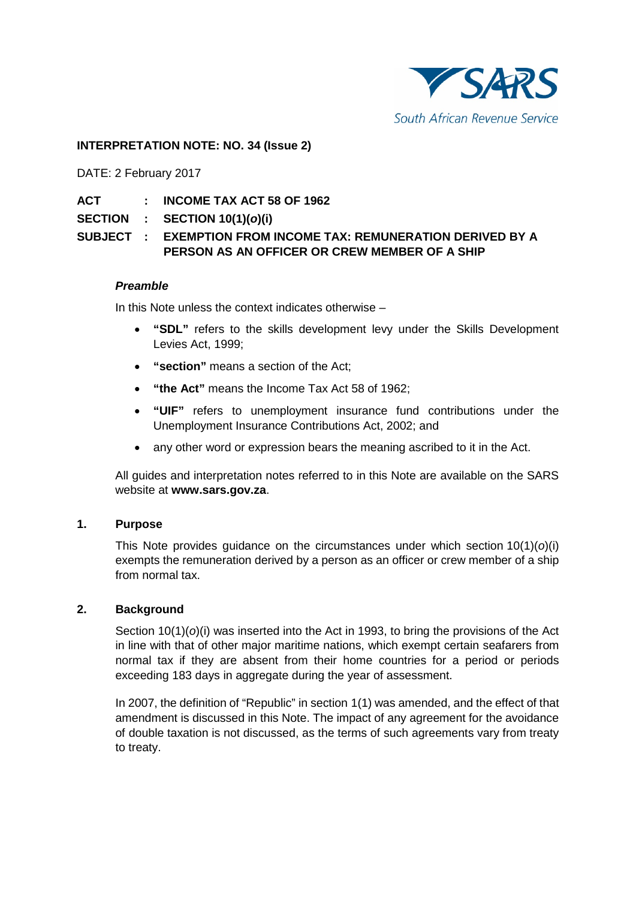

# **INTERPRETATION NOTE: NO. 34 (Issue 2)**

DATE: 2 February 2017

**ACT : INCOME TAX ACT 58 OF 1962**

**SECTION : SECTION 10(1)(***o***)(i)**

**SUBJECT : EXEMPTION FROM INCOME TAX: REMUNERATION DERIVED BY A PERSON AS AN OFFICER OR CREW MEMBER OF A SHIP**

### *Preamble*

In this Note unless the context indicates otherwise –

- **"SDL"** refers to the skills development levy under the Skills Development Levies Act, 1999;
- **"section"** means a section of the Act;
- **"the Act"** means the Income Tax Act 58 of 1962;
- **"UIF"** refers to unemployment insurance fund contributions under the Unemployment Insurance Contributions Act, 2002; and
- any other word or expression bears the meaning ascribed to it in the Act.

All guides and interpretation notes referred to in this Note are available on the SARS website at **[www.sars.gov.za](http://www.sars.gov.za/)**.

## **1. Purpose**

This Note provides guidance on the circumstances under which section 10(1)(*o*)(i) exempts the remuneration derived by a person as an officer or crew member of a ship from normal tax.

### **2. Background**

Section 10(1)(*o*)(i) was inserted into the Act in 1993, to bring the provisions of the Act in line with that of other major maritime nations, which exempt certain seafarers from normal tax if they are absent from their home countries for a period or periods exceeding 183 days in aggregate during the year of assessment.

In 2007, the definition of "Republic" in section 1(1) was amended, and the effect of that amendment is discussed in this Note. The impact of any agreement for the avoidance of double taxation is not discussed, as the terms of such agreements vary from treaty to treaty.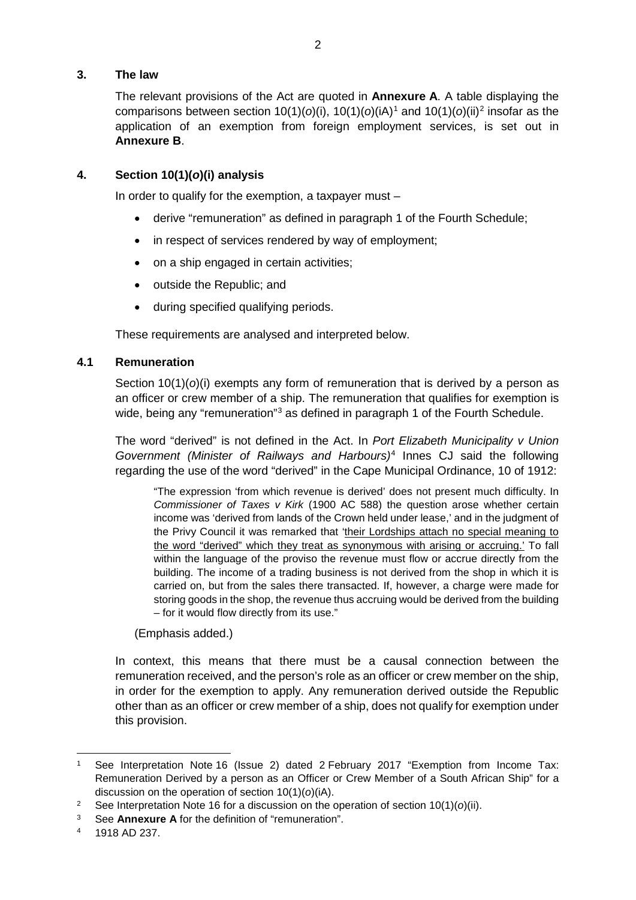## **3. The law**

The relevant provisions of the Act are quoted in **[Annexure](#page-8-0) A**. A table displaying the comparisons between section  $10(1)(o)(i)$  $10(1)(o)(i)$ ,  $10(1)(o)(i)$ <sup>1</sup> and  $10(1)(o)(ii)^2$  $10(1)(o)(ii)^2$  insofar as the application of an exemption from foreign employment services, is set out in **Annexure B**.

# **4. Section 10(1)(***o***)(i) analysis**

In order to qualify for the exemption, a taxpayer must –

- derive "remuneration" as defined in paragraph 1 of the Fourth Schedule;
- in respect of services rendered by way of employment;
- on a ship engaged in certain activities;
- outside the Republic; and
- during specified qualifying periods.

These requirements are analysed and interpreted below.

# **4.1 Remuneration**

Section 10(1)(*o*)(i) exempts any form of remuneration that is derived by a person as an officer or crew member of a ship. The remuneration that qualifies for exemption is wide, being any "remuneration"<sup>[3](#page-1-2)</sup> as defined in paragraph 1 of the Fourth Schedule.

The word "derived" is not defined in the Act. In *Port Elizabeth Municipality v Union Government (Minister of Railways and Harbours)*[4](#page-1-3) Innes CJ said the following regarding the use of the word "derived" in the Cape Municipal Ordinance, 10 of 1912:

"The expression 'from which revenue is derived' does not present much difficulty. In *Commissioner of Taxes v Kirk* (1900 AC 588) the question arose whether certain income was 'derived from lands of the Crown held under lease,' and in the judgment of the Privy Council it was remarked that 'their Lordships attach no special meaning to the word "derived" which they treat as synonymous with arising or accruing.' To fall within the language of the proviso the revenue must flow or accrue directly from the building. The income of a trading business is not derived from the shop in which it is carried on, but from the sales there transacted. If, however, a charge were made for storing goods in the shop, the revenue thus accruing would be derived from the building – for it would flow directly from its use."

(Emphasis added.)

In context, this means that there must be a causal connection between the remuneration received, and the person's role as an officer or crew member on the ship, in order for the exemption to apply. Any remuneration derived outside the Republic other than as an officer or crew member of a ship, does not qualify for exemption under this provision.

<span id="page-1-0"></span> $\overline{\phantom{a}}$ See Interpretation Note 16 (Issue 2) dated 2 February 2017 "Exemption from Income Tax: Remuneration Derived by a person as an Officer or Crew Member of a South African Ship" for a discussion on the operation of section 10(1)(*o*)(iA).

<span id="page-1-1"></span><sup>2</sup> See Interpretation Note 16 for a discussion on the operation of section 10(1)(*o*)(ii).

<span id="page-1-2"></span><sup>3</sup> See **Annexure A** for the definition of "remuneration".

<span id="page-1-3"></span><sup>4</sup> 1918 AD 237.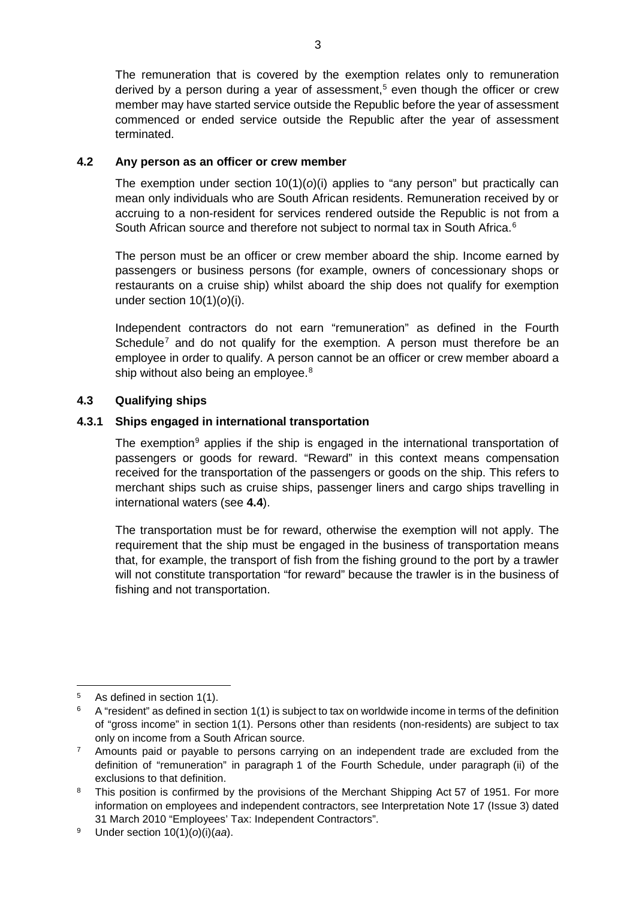The remuneration that is covered by the exemption relates only to remuneration derived by a person during a year of assessment, [5](#page-2-0) even though the officer or crew member may have started service outside the Republic before the year of assessment commenced or ended service outside the Republic after the year of assessment terminated.

# **4.2 Any person as an officer or crew member**

The exemption under section 10(1)(*o*)(i) applies to "any person" but practically can mean only individuals who are South African residents. Remuneration received by or accruing to a non-resident for services rendered outside the Republic is not from a South African source and therefore not subject to normal tax in South Africa.<sup>[6](#page-2-1)</sup>

The person must be an officer or crew member aboard the ship. Income earned by passengers or business persons (for example, owners of concessionary shops or restaurants on a cruise ship) whilst aboard the ship does not qualify for exemption under section 10(1)(*o*)(i).

Independent contractors do not earn "remuneration" as defined in the Fourth Schedule<sup>[7](#page-2-2)</sup> and do not qualify for the exemption. A person must therefore be an employee in order to qualify. A person cannot be an officer or crew member aboard a ship without also being an employee.<sup>[8](#page-2-3)</sup>

# **4.3 Qualifying ships**

## **4.3.1 Ships engaged in international transportation**

The exemption $9$  applies if the ship is engaged in the international transportation of passengers or goods for reward. "Reward" in this context means compensation received for the transportation of the passengers or goods on the ship. This refers to merchant ships such as cruise ships, passenger liners and cargo ships travelling in international waters (see **[4.4](#page-3-0)**).

The transportation must be for reward, otherwise the exemption will not apply. The requirement that the ship must be engaged in the business of transportation means that, for example, the transport of fish from the fishing ground to the port by a trawler will not constitute transportation "for reward" because the trawler is in the business of fishing and not transportation.

**.** 

<span id="page-2-0"></span>As defined in section 1(1).

<span id="page-2-1"></span> $6$  A "resident" as defined in section 1(1) is subject to tax on worldwide income in terms of the definition of "gross income" in section 1(1). Persons other than residents (non-residents) are subject to tax only on income from a South African source.

<span id="page-2-2"></span><sup>&</sup>lt;sup>7</sup> Amounts paid or payable to persons carrying on an independent trade are excluded from the definition of "remuneration" in paragraph 1 of the Fourth Schedule, under paragraph (ii) of the exclusions to that definition.

<span id="page-2-3"></span><sup>&</sup>lt;sup>8</sup> This position is confirmed by the provisions of the Merchant Shipping Act 57 of 1951. For more information on employees and independent contractors, see Interpretation Note 17 (Issue 3) dated 31 March 2010 "Employees' Tax: Independent Contractors".

<span id="page-2-4"></span><sup>9</sup> Under section 10(1)(*o*)(i)(*aa*).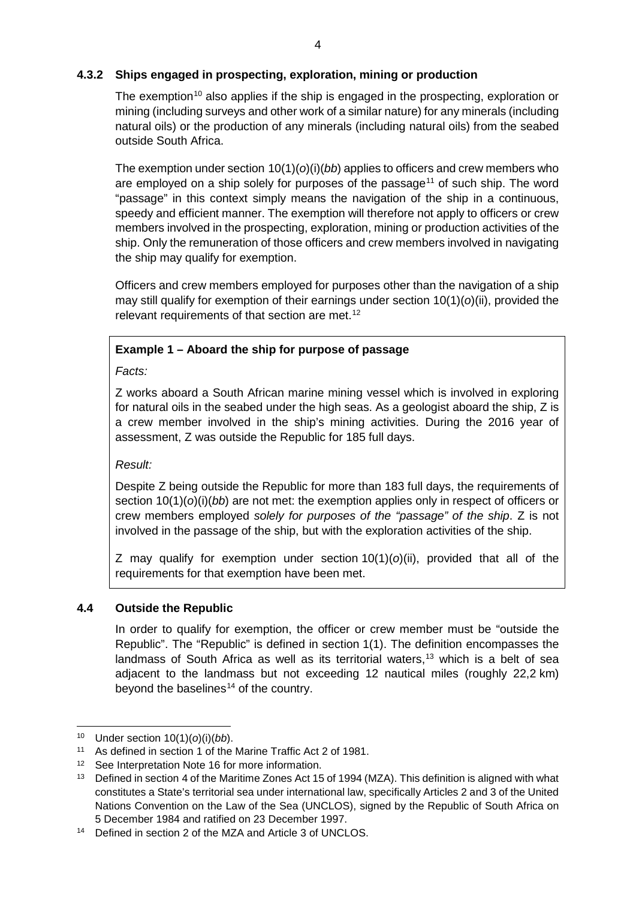# **4.3.2 Ships engaged in prospecting, exploration, mining or production**

The exemption<sup>[10](#page-3-1)</sup> also applies if the ship is engaged in the prospecting, exploration or mining (including surveys and other work of a similar nature) for any minerals (including natural oils) or the production of any minerals (including natural oils) from the seabed outside South Africa.

The exemption under section 10(1)(*o*)(i)(*bb*) applies to officers and crew members who are employed on a ship solely for purposes of the passage<sup>[11](#page-3-2)</sup> of such ship. The word "passage" in this context simply means the navigation of the ship in a continuous, speedy and efficient manner. The exemption will therefore not apply to officers or crew members involved in the prospecting, exploration, mining or production activities of the ship. Only the remuneration of those officers and crew members involved in navigating the ship may qualify for exemption.

Officers and crew members employed for purposes other than the navigation of a ship may still qualify for exemption of their earnings under section 10(1)(*o*)(ii), provided the relevant requirements of that section are met.<sup>[12](#page-3-3)</sup>

## **Example 1 – Aboard the ship for purpose of passage**

*Facts:*

Z works aboard a South African marine mining vessel which is involved in exploring for natural oils in the seabed under the high seas. As a geologist aboard the ship, Z is a crew member involved in the ship's mining activities. During the 2016 year of assessment, Z was outside the Republic for 185 full days.

## *Result:*

Despite Z being outside the Republic for more than 183 full days, the requirements of section 10(1)(*o*)(i)(*bb*) are not met: the exemption applies only in respect of officers or crew members employed *solely for purposes of the "passage" of the ship*. Z is not involved in the passage of the ship, but with the exploration activities of the ship.

Z may qualify for exemption under section 10(1)(*o*)(ii), provided that all of the requirements for that exemption have been met.

## <span id="page-3-0"></span>**4.4 Outside the Republic**

In order to qualify for exemption, the officer or crew member must be "outside the Republic". The "Republic" is defined in section 1(1). The definition encompasses the landmass of South Africa as well as its territorial waters,<sup>[13](#page-3-4)</sup> which is a belt of sea adjacent to the landmass but not exceeding 12 nautical miles (roughly 22,2 km) beyond the baselines $14$  of the country.

**<sup>.</sup>** <sup>10</sup> Under section 10(1)(*o*)(i)(*bb*).

<span id="page-3-2"></span><span id="page-3-1"></span><sup>&</sup>lt;sup>11</sup> As defined in section 1 of the Marine Traffic Act 2 of 1981.

<span id="page-3-3"></span><sup>&</sup>lt;sup>12</sup> See Interpretation Note 16 for more information.

<span id="page-3-4"></span><sup>&</sup>lt;sup>13</sup> Defined in section 4 of the Maritime Zones Act 15 of 1994 (MZA). This definition is aligned with what constitutes a State's territorial sea under international law, specifically Articles 2 and 3 of the United Nations Convention on the Law of the Sea (UNCLOS), signed by the Republic of South Africa on 5 December 1984 and ratified on 23 December 1997.

<span id="page-3-5"></span><sup>14</sup> Defined in section 2 of the MZA and Article 3 of UNCLOS.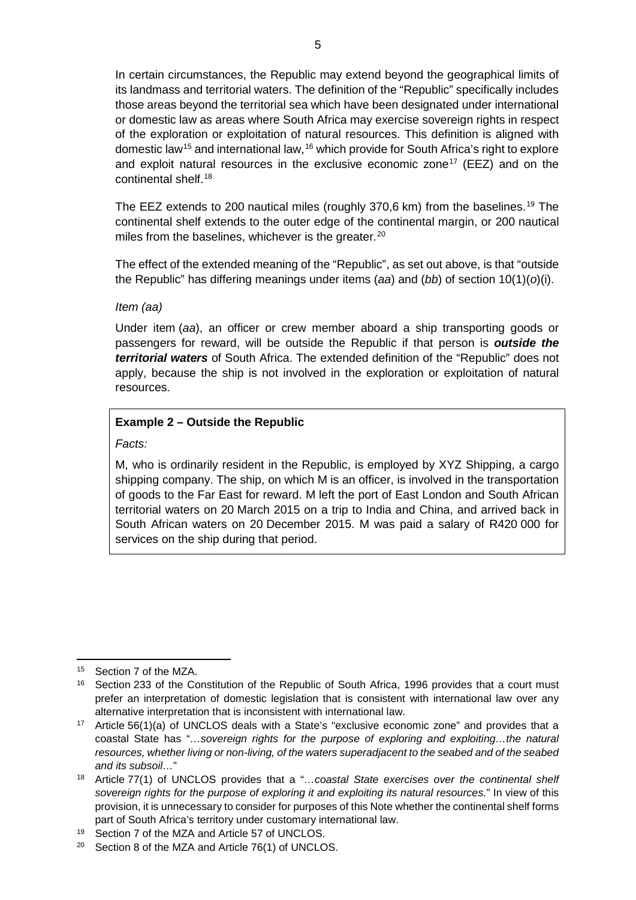In certain circumstances, the Republic may extend beyond the geographical limits of its landmass and territorial waters. The definition of the "Republic" specifically includes those areas beyond the territorial sea which have been designated under international or domestic law as areas where South Africa may exercise sovereign rights in respect of the exploration or exploitation of natural resources. This definition is aligned with domestic law<sup>[15](#page-4-0)</sup> and international law,<sup>[16](#page-4-1)</sup> which provide for South Africa's right to explore and exploit natural resources in the exclusive economic zone<sup>[17](#page-4-2)</sup> (EEZ) and on the continental shelf.[18](#page-4-3)

The EEZ extends to 200 nautical miles (roughly 370,6 km) from the baselines.[19](#page-4-4) The continental shelf extends to the outer edge of the continental margin, or 200 nautical miles from the baselines, whichever is the greater.<sup>[20](#page-4-5)</sup>

The effect of the extended meaning of the "Republic", as set out above, is that "outside the Republic" has differing meanings under items (*aa*) and (*bb*) of section 10(1)(*o*)(i).

### *Item (aa)*

Under item (*aa*), an officer or crew member aboard a ship transporting goods or passengers for reward, will be outside the Republic if that person is *outside the territorial waters* of South Africa. The extended definition of the "Republic" does not apply, because the ship is not involved in the exploration or exploitation of natural resources.

### **Example 2 – Outside the Republic**

#### *Facts:*

M, who is ordinarily resident in the Republic, is employed by XYZ Shipping, a cargo shipping company. The ship, on which M is an officer, is involved in the transportation of goods to the Far East for reward. M left the port of East London and South African territorial waters on 20 March 2015 on a trip to India and China, and arrived back in South African waters on 20 December 2015. M was paid a salary of R420 000 for services on the ship during that period.

 $\overline{\phantom{a}}$ <sup>15</sup> Section 7 of the MZA.

<span id="page-4-1"></span><span id="page-4-0"></span><sup>&</sup>lt;sup>16</sup> Section 233 of the Constitution of the Republic of South Africa, 1996 provides that a court must prefer an interpretation of domestic legislation that is consistent with international law over any alternative interpretation that is inconsistent with international law.

<span id="page-4-2"></span><sup>17</sup> Article 56(1)(a) of UNCLOS deals with a State's "exclusive economic zone" and provides that a coastal State has "*…sovereign rights for the purpose of exploring and exploiting…the natural resources, whether living or non-living, of the waters superadjacent to the seabed and of the seabed and its subsoil…*"

<span id="page-4-3"></span><sup>18</sup> Article 77(1) of UNCLOS provides that a "*…coastal State exercises over the continental shelf sovereign rights for the purpose of exploring it and exploiting its natural resources.*" In view of this provision, it is unnecessary to consider for purposes of this Note whether the continental shelf forms part of South Africa's territory under customary international law.

<span id="page-4-4"></span><sup>&</sup>lt;sup>19</sup> Section 7 of the MZA and Article 57 of UNCLOS.

<span id="page-4-5"></span><sup>20</sup> Section 8 of the MZA and Article 76(1) of UNCLOS.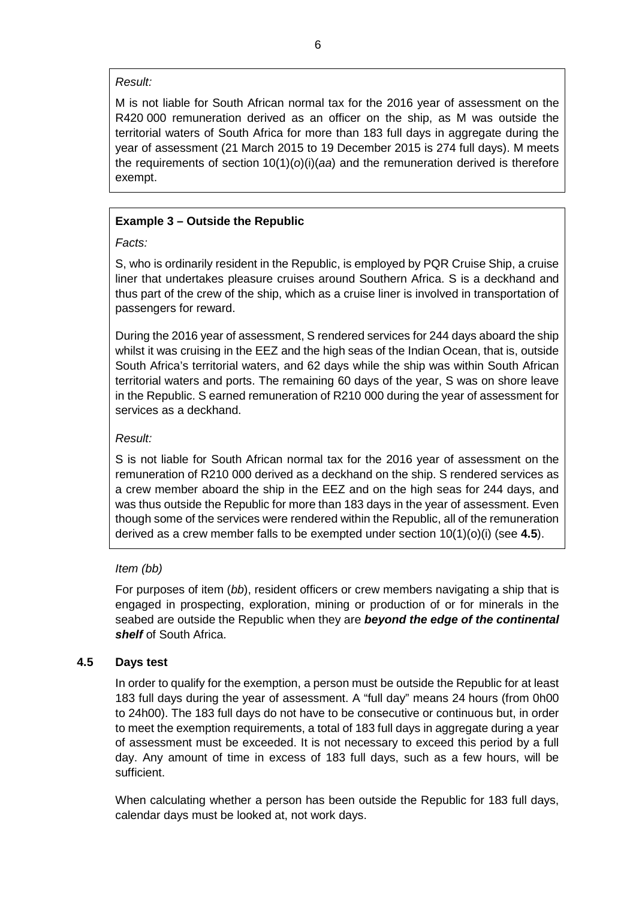### *Result:*

M is not liable for South African normal tax for the 2016 year of assessment on the R420 000 remuneration derived as an officer on the ship, as M was outside the territorial waters of South Africa for more than 183 full days in aggregate during the year of assessment (21 March 2015 to 19 December 2015 is 274 full days). M meets the requirements of section 10(1)(*o*)(i)(*aa*) and the remuneration derived is therefore exempt.

# **Example 3 – Outside the Republic**

# *Facts:*

S, who is ordinarily resident in the Republic, is employed by PQR Cruise Ship, a cruise liner that undertakes pleasure cruises around Southern Africa. S is a deckhand and thus part of the crew of the ship, which as a cruise liner is involved in transportation of passengers for reward.

During the 2016 year of assessment, S rendered services for 244 days aboard the ship whilst it was cruising in the EEZ and the high seas of the Indian Ocean, that is, outside South Africa's territorial waters, and 62 days while the ship was within South African territorial waters and ports. The remaining 60 days of the year, S was on shore leave in the Republic. S earned remuneration of R210 000 during the year of assessment for services as a deckhand.

# *Result:*

S is not liable for South African normal tax for the 2016 year of assessment on the remuneration of R210 000 derived as a deckhand on the ship. S rendered services as a crew member aboard the ship in the EEZ and on the high seas for 244 days, and was thus outside the Republic for more than 183 days in the year of assessment. Even though some of the services were rendered within the Republic, all of the remuneration derived as a crew member falls to be exempted under section 10(1)(o)(i) (see **[4.5](#page-5-0)**).

# *Item (bb)*

For purposes of item (*bb*), resident officers or crew members navigating a ship that is engaged in prospecting, exploration, mining or production of or for minerals in the seabed are outside the Republic when they are *beyond the edge of the continental shelf* of South Africa.

# <span id="page-5-0"></span>**4.5 Days test**

In order to qualify for the exemption, a person must be outside the Republic for at least 183 full days during the year of assessment. A "full day" means 24 hours (from 0h00 to 24h00). The 183 full days do not have to be consecutive or continuous but, in order to meet the exemption requirements, a total of 183 full days in aggregate during a year of assessment must be exceeded. It is not necessary to exceed this period by a full day. Any amount of time in excess of 183 full days, such as a few hours, will be sufficient.

When calculating whether a person has been outside the Republic for 183 full days, calendar days must be looked at, not work days.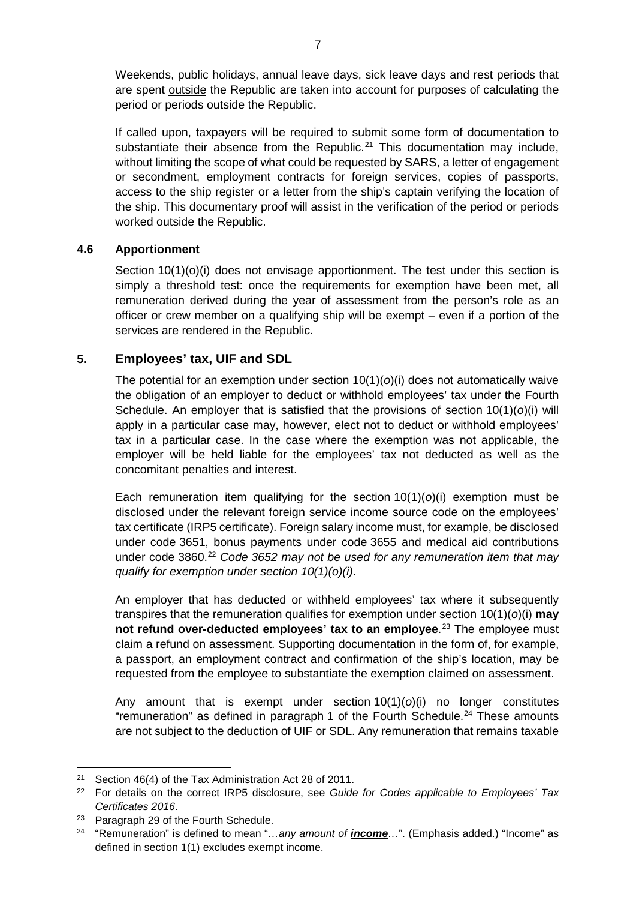Weekends, public holidays, annual leave days, sick leave days and rest periods that are spent outside the Republic are taken into account for purposes of calculating the period or periods outside the Republic.

If called upon, taxpayers will be required to submit some form of documentation to substantiate their absence from the Republic. [21](#page-6-0) This documentation may include, without limiting the scope of what could be requested by SARS, a letter of engagement or secondment, employment contracts for foreign services, copies of passports, access to the ship register or a letter from the ship's captain verifying the location of the ship. This documentary proof will assist in the verification of the period or periods worked outside the Republic.

## **4.6 Apportionment**

Section 10(1)(o)(i) does not envisage apportionment. The test under this section is simply a threshold test: once the requirements for exemption have been met, all remuneration derived during the year of assessment from the person's role as an officer or crew member on a qualifying ship will be exempt – even if a portion of the services are rendered in the Republic.

## **5. Employees' tax, UIF and SDL**

The potential for an exemption under section 10(1)(*o*)(i) does not automatically waive the obligation of an employer to deduct or withhold employees' tax under the Fourth Schedule. An employer that is satisfied that the provisions of section 10(1)(*o*)(i) will apply in a particular case may, however, elect not to deduct or withhold employees' tax in a particular case. In the case where the exemption was not applicable, the employer will be held liable for the employees' tax not deducted as well as the concomitant penalties and interest.

Each remuneration item qualifying for the section 10(1)(*o*)(i) exemption must be disclosed under the relevant foreign service income source code on the employees' tax certificate (IRP5 certificate). Foreign salary income must, for example, be disclosed under code 3651, bonus payments under code 3655 and medical aid contributions under code 3860.[22](#page-6-1) *Code 3652 may not be used for any remuneration item that may qualify for exemption under section 10(1)(o)(i)*.

An employer that has deducted or withheld employees' tax where it subsequently transpires that the remuneration qualifies for exemption under section 10(1)(*o*)(i) **may not refund over-deducted employees' tax to an employee**. [23](#page-6-2) The employee must claim a refund on assessment. Supporting documentation in the form of, for example, a passport, an employment contract and confirmation of the ship's location, may be requested from the employee to substantiate the exemption claimed on assessment.

Any amount that is exempt under section 10(1)(*o*)(i) no longer constitutes "remuneration" as defined in paragraph 1 of the Fourth Schedule.<sup>[24](#page-6-3)</sup> These amounts are not subject to the deduction of UIF or SDL. Any remuneration that remains taxable

 $\overline{\phantom{a}}$ <sup>21</sup> Section 46(4) of the Tax Administration Act 28 of 2011.

<span id="page-6-1"></span><span id="page-6-0"></span><sup>22</sup> For details on the correct IRP5 disclosure, see *Guide for Codes applicable to Employees' Tax Certificates 2016*.

<span id="page-6-2"></span><sup>23</sup> Paragraph 29 of the Fourth Schedule.

<span id="page-6-3"></span><sup>24</sup> "Remuneration" is defined to mean "*…any amount of income…*". (Emphasis added.) "Income" as defined in section 1(1) excludes exempt income.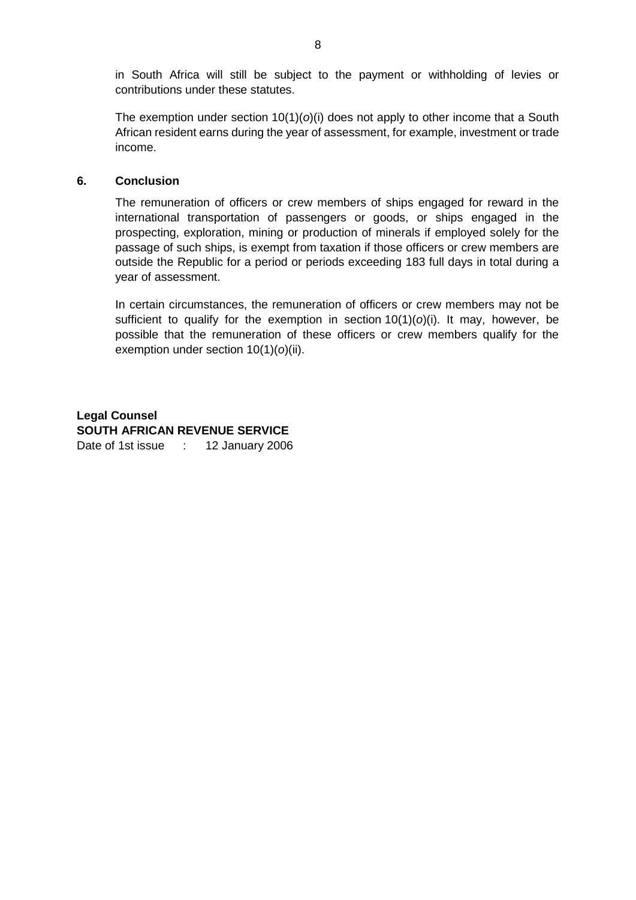in South Africa will still be subject to the payment or withholding of levies or contributions under these statutes.

The exemption under section 10(1)(*o*)(i) does not apply to other income that a South African resident earns during the year of assessment, for example, investment or trade income.

### **6. Conclusion**

The remuneration of officers or crew members of ships engaged for reward in the international transportation of passengers or goods, or ships engaged in the prospecting, exploration, mining or production of minerals if employed solely for the passage of such ships, is exempt from taxation if those officers or crew members are outside the Republic for a period or periods exceeding 183 full days in total during a year of assessment.

In certain circumstances, the remuneration of officers or crew members may not be sufficient to qualify for the exemption in section 10(1)(*o*)(i). It may, however, be possible that the remuneration of these officers or crew members qualify for the exemption under section 10(1)(*o*)(ii).

**Legal Counsel SOUTH AFRICAN REVENUE SERVICE** Date of 1st issue : 12 January 2006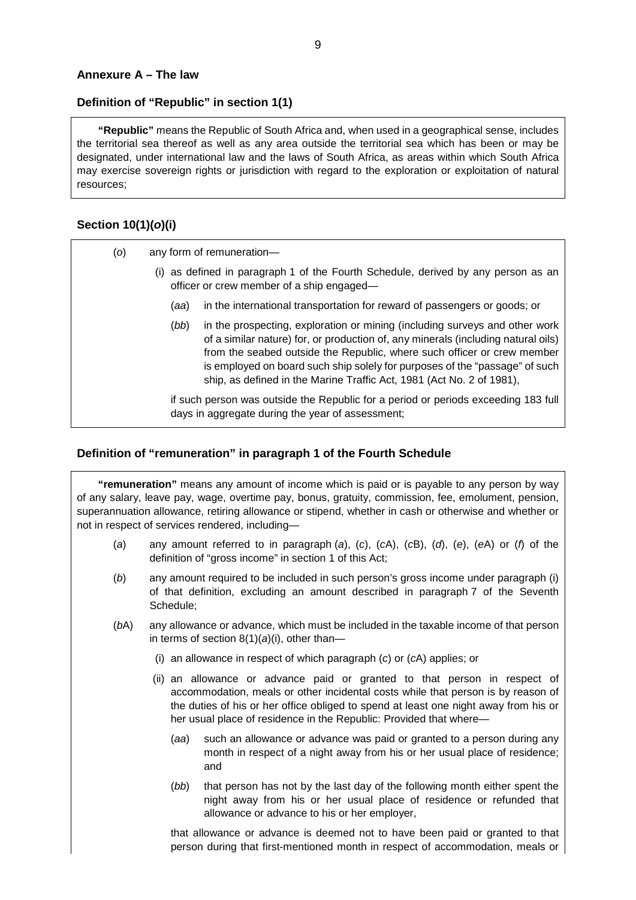## <span id="page-8-0"></span>**Definition of "Republic" in section 1(1)**

**"Republic"** means the Republic of South Africa and, when used in a geographical sense, includes the territorial sea thereof as well as any area outside the territorial sea which has been or may be designated, under international law and the laws of South Africa, as areas within which South Africa may exercise sovereign rights or jurisdiction with regard to the exploration or exploitation of natural resources;

# **Section 10(1)(***o***)(i)**

| (o) |     | any form of remuneration-                                                                                                  |                                                                                                                                                                                                                                                                                                                                                                                                     |  |  |  |
|-----|-----|----------------------------------------------------------------------------------------------------------------------------|-----------------------------------------------------------------------------------------------------------------------------------------------------------------------------------------------------------------------------------------------------------------------------------------------------------------------------------------------------------------------------------------------------|--|--|--|
|     | (1) | as defined in paragraph 1 of the Fourth Schedule, derived by any person as an<br>officer or crew member of a ship engaged- |                                                                                                                                                                                                                                                                                                                                                                                                     |  |  |  |
|     |     | (aa)                                                                                                                       | in the international transportation for reward of passengers or goods; or                                                                                                                                                                                                                                                                                                                           |  |  |  |
|     |     | (bb)                                                                                                                       | in the prospecting, exploration or mining (including surveys and other work<br>of a similar nature) for, or production of, any minerals (including natural oils)<br>from the seabed outside the Republic, where such officer or crew member<br>is employed on board such ship solely for purposes of the "passage" of such<br>ship, as defined in the Marine Traffic Act, 1981 (Act No. 2 of 1981), |  |  |  |
|     |     |                                                                                                                            | if such person was outside the Republic for a period or periods exceeding 183 full<br>days in aggregate during the year of assessment;                                                                                                                                                                                                                                                              |  |  |  |
|     |     |                                                                                                                            |                                                                                                                                                                                                                                                                                                                                                                                                     |  |  |  |

# **Definition of "remuneration" in paragraph 1 of the Fourth Schedule**

**"remuneration"** means any amount of income which is paid or is payable to any person by way of any salary, leave pay, wage, overtime pay, bonus, gratuity, commission, fee, emolument, pension, superannuation allowance, retiring allowance or stipend, whether in cash or otherwise and whether or not in respect of services rendered, including—

- (*a*) any amount referred to in paragraph (*a*), (*c*), (*c*A), (*c*B), (*d*), (*e*), (*e*A) or (*f*) of the definition of "gross income" in section 1 of this Act:
- (*b*) any amount required to be included in such person's gross income under paragraph (i) of that definition, excluding an amount described in paragraph 7 of the Seventh Schedule;
- (*b*A) any allowance or advance, which must be included in the taxable income of that person in terms of section 8(1)(*a*)(i), other than—
	- (i) an allowance in respect of which paragraph (*c*) or (*c*A) applies; or
	- (ii) an allowance or advance paid or granted to that person in respect of accommodation, meals or other incidental costs while that person is by reason of the duties of his or her office obliged to spend at least one night away from his or her usual place of residence in the Republic: Provided that where—
		- (*aa*) such an allowance or advance was paid or granted to a person during any month in respect of a night away from his or her usual place of residence; and
		- (*bb*) that person has not by the last day of the following month either spent the night away from his or her usual place of residence or refunded that allowance or advance to his or her employer,

that allowance or advance is deemed not to have been paid or granted to that person during that first-mentioned month in respect of accommodation, meals or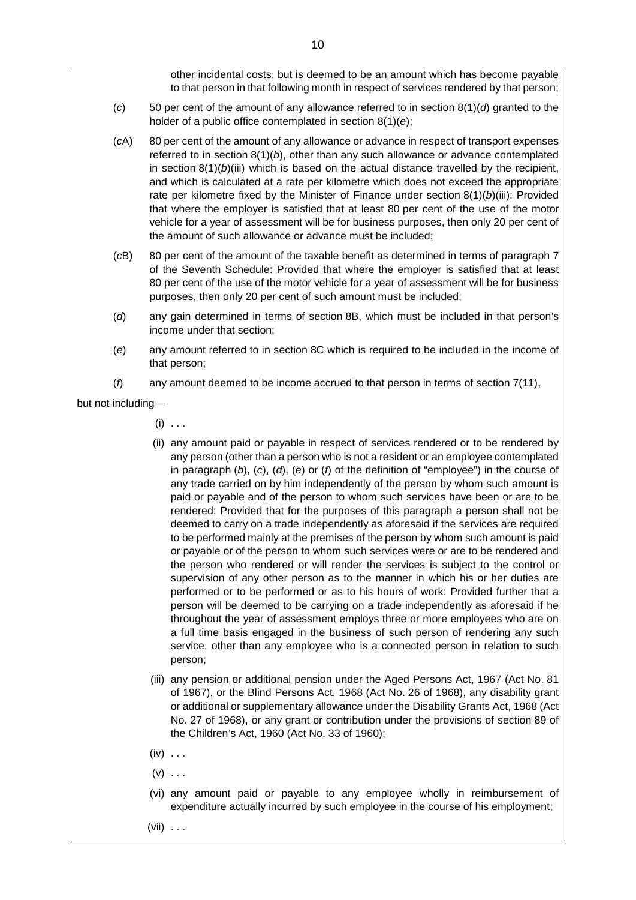other incidental costs, but is deemed to be an amount which has become payable to that person in that following month in respect of services rendered by that person;

- (*c*) 50 per cent of the amount of any allowance referred to in section 8(1)(*d*) granted to the holder of a public office contemplated in section 8(1)(*e*);
- (*c*A) 80 per cent of the amount of any allowance or advance in respect of transport expenses referred to in section  $8(1)(b)$ , other than any such allowance or advance contemplated in section  $8(1)(b)(iii)$  which is based on the actual distance travelled by the recipient, and which is calculated at a rate per kilometre which does not exceed the appropriate rate per kilometre fixed by the Minister of Finance under section 8(1)(*b*)(iii): Provided that where the employer is satisfied that at least 80 per cent of the use of the motor vehicle for a year of assessment will be for business purposes, then only 20 per cent of the amount of such allowance or advance must be included;
- (*c*B) 80 per cent of the amount of the taxable benefit as determined in terms of paragraph 7 of the Seventh Schedule: Provided that where the employer is satisfied that at least 80 per cent of the use of the motor vehicle for a year of assessment will be for business purposes, then only 20 per cent of such amount must be included;
- (*d*) any gain determined in terms of section 8B, which must be included in that person's income under that section;
- (*e*) any amount referred to in section 8C which is required to be included in the income of that person;
- (*f*) any amount deemed to be income accrued to that person in terms of section 7(11),

but not including—

- $(i) \ldots$
- (ii) any amount paid or payable in respect of services rendered or to be rendered by any person (other than a person who is not a resident or an employee contemplated in paragraph (*b*), (*c*), (*d*), (*e*) or (*f*) of the definition of "employee") in the course of any trade carried on by him independently of the person by whom such amount is paid or payable and of the person to whom such services have been or are to be rendered: Provided that for the purposes of this paragraph a person shall not be deemed to carry on a trade independently as aforesaid if the services are required to be performed mainly at the premises of the person by whom such amount is paid or payable or of the person to whom such services were or are to be rendered and the person who rendered or will render the services is subject to the control or supervision of any other person as to the manner in which his or her duties are performed or to be performed or as to his hours of work: Provided further that a person will be deemed to be carrying on a trade independently as aforesaid if he throughout the year of assessment employs three or more employees who are on a full time basis engaged in the business of such person of rendering any such service, other than any employee who is a connected person in relation to such person;
- (iii) any pension or additional pension under the Aged Persons Act, 1967 (Act No. 81 of 1967), or the Blind Persons Act, 1968 (Act No. 26 of 1968), any disability grant or additional or supplementary allowance under the Disability Grants Act, 1968 (Act No. 27 of 1968), or any grant or contribution under the provisions of section 89 of the Children's Act, 1960 (Act No. 33 of 1960);
- $(iv)$  . . .
- $(v)$  . . .
- (vi) any amount paid or payable to any employee wholly in reimbursement of expenditure actually incurred by such employee in the course of his employment;
- $(vii)$  . . .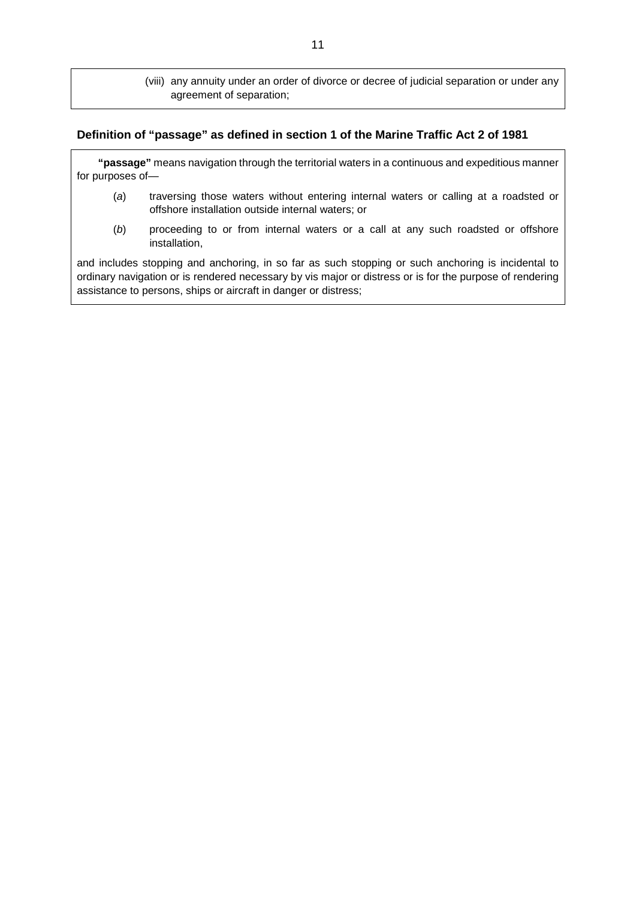(viii) any annuity under an order of divorce or decree of judicial separation or under any agreement of separation;

### **Definition of "passage" as defined in section 1 of the Marine Traffic Act 2 of 1981**

**"passage"** means navigation through the territorial waters in a continuous and expeditious manner for purposes of—

- (*a*) traversing those waters without entering internal waters or calling at a roadsted or offshore installation outside internal waters; or
- (*b*) proceeding to or from internal waters or a call at any such roadsted or offshore installation,

and includes stopping and anchoring, in so far as such stopping or such anchoring is incidental to ordinary navigation or is rendered necessary by vis major or distress or is for the purpose of rendering assistance to persons, ships or aircraft in danger or distress;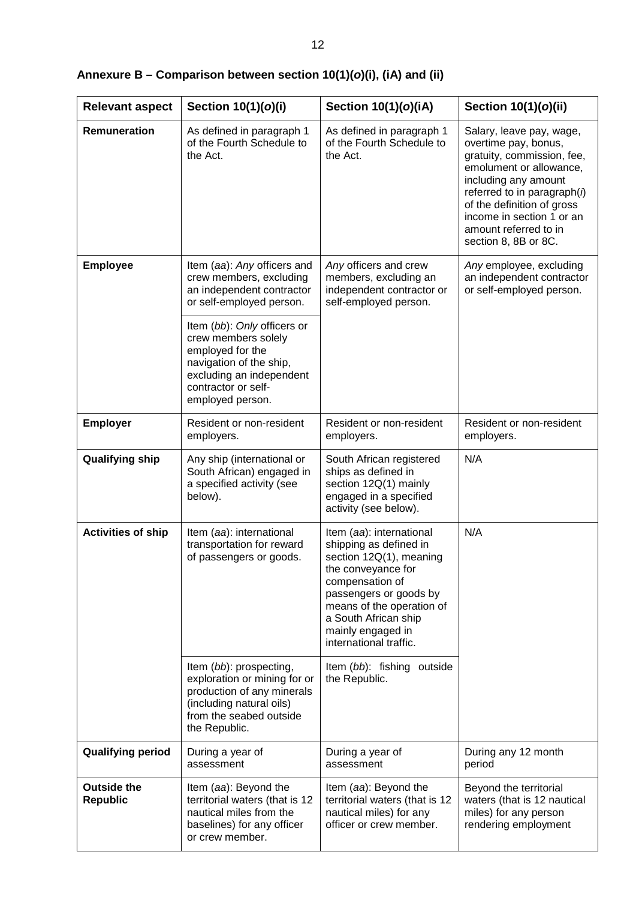| <b>Relevant aspect</b>                | Section 10(1)(o)(i)                                                                                                                                                      | Section 10(1)(o)(iA)                                                                                                                                                                                                                                 | Section 10(1)(o)(ii)                                                                                                                                                                                                                                                         |
|---------------------------------------|--------------------------------------------------------------------------------------------------------------------------------------------------------------------------|------------------------------------------------------------------------------------------------------------------------------------------------------------------------------------------------------------------------------------------------------|------------------------------------------------------------------------------------------------------------------------------------------------------------------------------------------------------------------------------------------------------------------------------|
| Remuneration                          | As defined in paragraph 1<br>of the Fourth Schedule to<br>the Act.                                                                                                       | As defined in paragraph 1<br>of the Fourth Schedule to<br>the Act.                                                                                                                                                                                   | Salary, leave pay, wage,<br>overtime pay, bonus,<br>gratuity, commission, fee,<br>emolument or allowance,<br>including any amount<br>referred to in paragraph(i)<br>of the definition of gross<br>income in section 1 or an<br>amount referred to in<br>section 8, 8B or 8C. |
| <b>Employee</b>                       | Item (aa): Any officers and<br>crew members, excluding<br>an independent contractor<br>or self-employed person.                                                          | Any officers and crew<br>members, excluding an<br>independent contractor or<br>self-employed person.                                                                                                                                                 | Any employee, excluding<br>an independent contractor<br>or self-employed person.                                                                                                                                                                                             |
|                                       | Item (bb): Only officers or<br>crew members solely<br>employed for the<br>navigation of the ship,<br>excluding an independent<br>contractor or self-<br>employed person. |                                                                                                                                                                                                                                                      |                                                                                                                                                                                                                                                                              |
| <b>Employer</b>                       | Resident or non-resident<br>employers.                                                                                                                                   | Resident or non-resident<br>employers.                                                                                                                                                                                                               | Resident or non-resident<br>employers.                                                                                                                                                                                                                                       |
| <b>Qualifying ship</b>                | Any ship (international or<br>South African) engaged in<br>a specified activity (see<br>below).                                                                          | South African registered<br>ships as defined in<br>section 12Q(1) mainly<br>engaged in a specified<br>activity (see below).                                                                                                                          | N/A                                                                                                                                                                                                                                                                          |
| <b>Activities of ship</b>             | Item (aa): international<br>transportation for reward<br>of passengers or goods.                                                                                         | Item (aa): international<br>shipping as defined in<br>section 12Q(1), meaning<br>the conveyance for<br>compensation of<br>passengers or goods by<br>means of the operation of<br>a South African ship<br>mainly engaged in<br>international traffic. | N/A                                                                                                                                                                                                                                                                          |
|                                       | Item (bb): prospecting,<br>exploration or mining for or<br>production of any minerals<br>(including natural oils)<br>from the seabed outside<br>the Republic.            | Item (bb): fishing outside<br>the Republic.                                                                                                                                                                                                          |                                                                                                                                                                                                                                                                              |
| <b>Qualifying period</b>              | During a year of<br>assessment                                                                                                                                           | During a year of<br>assessment                                                                                                                                                                                                                       | During any 12 month<br>period                                                                                                                                                                                                                                                |
| <b>Outside the</b><br><b>Republic</b> | Item (aa): Beyond the<br>territorial waters (that is 12<br>nautical miles from the<br>baselines) for any officer<br>or crew member.                                      | Item (aa): Beyond the<br>territorial waters (that is 12<br>nautical miles) for any<br>officer or crew member.                                                                                                                                        | Beyond the territorial<br>waters (that is 12 nautical<br>miles) for any person<br>rendering employment                                                                                                                                                                       |

| Annexure B – Comparison between section 10(1)(o)(i), (iA) and (ii) |  |  |  |
|--------------------------------------------------------------------|--|--|--|
|--------------------------------------------------------------------|--|--|--|